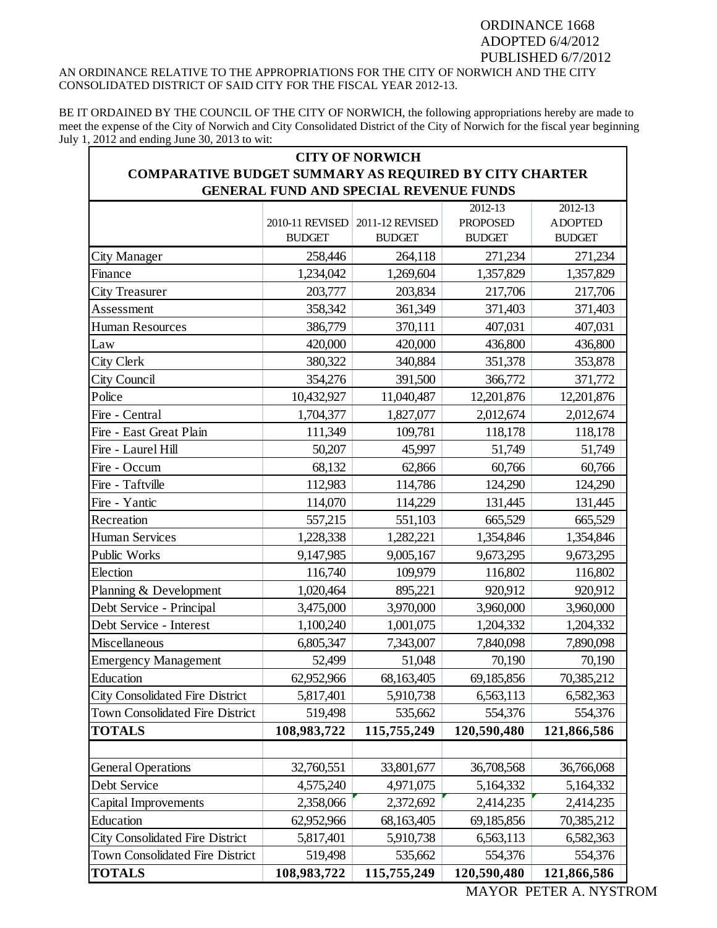## ORDINANCE 1668 ADOPTED 6/4/2012 PUBLISHED 6/7/2012 AN ORDINANCE RELATIVE TO THE APPROPRIATIONS FOR THE CITY OF NORWICH AND THE CITY CONSOLIDATED DISTRICT OF SAID CITY FOR THE FISCAL YEAR 2012-13.

BE IT ORDAINED BY THE COUNCIL OF THE CITY OF NORWICH, the following appropriations hereby are made to meet the expense of the City of Norwich and City Consolidated District of the City of Norwich for the fiscal year beginning July 1, 2012 and ending June 30, 2013 to wit:

| <b>CITY OF NORWICH</b><br><b>COMPARATIVE BUDGET SUMMARY AS REQUIRED BY CITY CHARTER</b><br>GENERAL FUND AND SPECIAL REVENUE FUNDS |                 |                 |                 |                |
|-----------------------------------------------------------------------------------------------------------------------------------|-----------------|-----------------|-----------------|----------------|
|                                                                                                                                   |                 |                 |                 |                |
|                                                                                                                                   | 2010-11 REVISED | 2011-12 REVISED | <b>PROPOSED</b> | <b>ADOPTED</b> |
|                                                                                                                                   | <b>BUDGET</b>   | <b>BUDGET</b>   | <b>BUDGET</b>   | <b>BUDGET</b>  |
| City Manager                                                                                                                      | 258,446         | 264,118         | 271,234         | 271,234        |
| Finance                                                                                                                           | 1,234,042       | 1,269,604       | 1,357,829       | 1,357,829      |
| <b>City Treasurer</b>                                                                                                             | 203,777         | 203,834         | 217,706         | 217,706        |
| Assessment                                                                                                                        | 358,342         | 361,349         | 371,403         | 371,403        |
| <b>Human Resources</b>                                                                                                            | 386,779         | 370,111         | 407,031         | 407,031        |
| Law                                                                                                                               | 420,000         | 420,000         | 436,800         | 436,800        |
| <b>City Clerk</b>                                                                                                                 | 380,322         | 340,884         | 351,378         | 353,878        |
| City Council                                                                                                                      | 354,276         | 391,500         | 366,772         | 371,772        |
| Police                                                                                                                            | 10,432,927      | 11,040,487      | 12,201,876      | 12,201,876     |
| Fire - Central                                                                                                                    | 1,704,377       | 1,827,077       | 2,012,674       | 2,012,674      |
| Fire - East Great Plain                                                                                                           | 111,349         | 109,781         | 118,178         | 118,178        |
| Fire - Laurel Hill                                                                                                                | 50,207          | 45,997          | 51,749          | 51,749         |
| Fire - Occum                                                                                                                      | 68,132          | 62,866          | 60,766          | 60,766         |
| Fire - Taftville                                                                                                                  | 112,983         | 114,786         | 124,290         | 124,290        |
| Fire - Yantic                                                                                                                     | 114,070         | 114,229         | 131,445         | 131,445        |
| Recreation                                                                                                                        | 557,215         | 551,103         | 665,529         | 665,529        |
| <b>Human Services</b>                                                                                                             | 1,228,338       | 1,282,221       | 1,354,846       | 1,354,846      |
| Public Works                                                                                                                      | 9,147,985       | 9,005,167       | 9,673,295       | 9,673,295      |
| Election                                                                                                                          | 116,740         | 109,979         | 116,802         | 116,802        |
| Planning & Development                                                                                                            | 1,020,464       | 895,221         | 920,912         | 920,912        |
| Debt Service - Principal                                                                                                          | 3,475,000       | 3,970,000       | 3,960,000       | 3,960,000      |
| Debt Service - Interest                                                                                                           | 1,100,240       | 1,001,075       | 1,204,332       | 1,204,332      |
| Miscellaneous                                                                                                                     | 6,805,347       | 7,343,007       | 7,840,098       | 7,890,098      |
| <b>Emergency Management</b>                                                                                                       | 52,499          | 51,048          | 70,190          | 70,190         |
| Education                                                                                                                         | 62,952,966      | 68,163,405      | 69,185,856      | 70,385,212     |
| <b>City Consolidated Fire District</b>                                                                                            | 5,817,401       | 5,910,738       | 6,563,113       | 6,582,363      |
| Town Consolidated Fire District                                                                                                   | 519,498         | 535,662         | 554,376         | 554,376        |
| <b>TOTALS</b>                                                                                                                     | 108,983,722     | 115,755,249     | 120,590,480     | 121,866,586    |
|                                                                                                                                   |                 |                 |                 |                |
| <b>General Operations</b>                                                                                                         | 32,760,551      | 33,801,677      | 36,708,568      | 36,766,068     |
| Debt Service                                                                                                                      | 4,575,240       | 4,971,075       | 5,164,332       | 5,164,332      |
| Capital Improvements                                                                                                              | 2,358,066       | 2,372,692       | 2,414,235       | 2,414,235      |
| Education                                                                                                                         | 62,952,966      | 68,163,405      | 69,185,856      | 70,385,212     |
| <b>City Consolidated Fire District</b>                                                                                            | 5,817,401       | 5,910,738       | 6,563,113       | 6,582,363      |
| Town Consolidated Fire District                                                                                                   | 519,498         | 535,662         | 554,376         | 554,376        |
| <b>TOTALS</b>                                                                                                                     | 108,983,722     | 115,755,249     | 120,590,480     | 121,866,586    |

MAYOR PETER A. NYSTROM